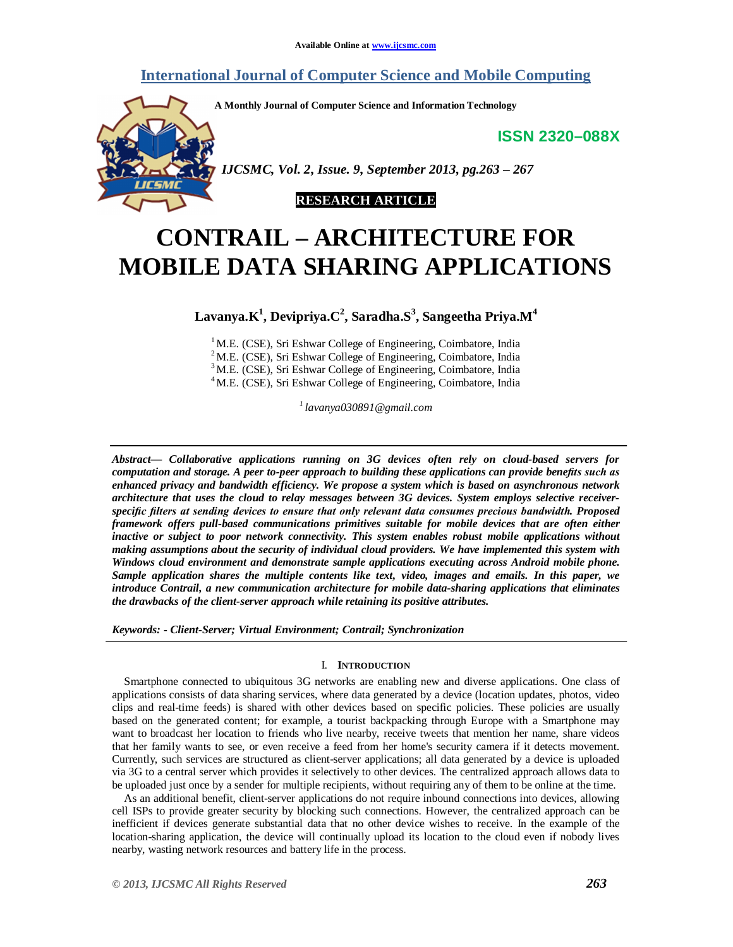## **International Journal of Computer Science and Mobile Computing**

**A Monthly Journal of Computer Science and Information Technology**

**ISSN 2320–088X**



 *IJCSMC, Vol. 2, Issue. 9, September 2013, pg.263 – 267*



# **CONTRAIL – ARCHITECTURE FOR MOBILE DATA SHARING APPLICATIONS**

**Lavanya.K 1 , Devipriya.C 2 , Saradha.S 3 , Sangeetha Priya.M<sup>4</sup>**

<sup>1</sup>M.E. (CSE), Sri Eshwar College of Engineering, Coimbatore, India <sup>2</sup>M.E. (CSE), Sri Eshwar College of Engineering, Coimbatore, India <sup>3</sup>M.E. (CSE), Sri Eshwar College of Engineering, Coimbatore, India <sup>4</sup>M.E. (CSE), Sri Eshwar College of Engineering, Coimbatore, India

*1 lavanya030891@gmail.com*

*Abstract— Collaborative applications running on 3G devices often rely on cloud-based servers for computation and storage. A peer to-peer approach to building these applications can provide benefits such as enhanced privacy and bandwidth efficiency. We propose a system which is based on asynchronous network architecture that uses the cloud to relay messages between 3G devices. System employs selective receiverspecific filters at sending devices to ensure that only relevant data consumes precious bandwidth. Proposed framework offers pull-based communications primitives suitable for mobile devices that are often either inactive or subject to poor network connectivity. This system enables robust mobile applications without making assumptions about the security of individual cloud providers. We have implemented this system with Windows cloud environment and demonstrate sample applications executing across Android mobile phone. Sample application shares the multiple contents like text, video, images and emails. In this paper, we introduce Contrail, a new communication architecture for mobile data-sharing applications that eliminates the drawbacks of the client-server approach while retaining its positive attributes.*

*Keywords: - Client-Server; Virtual Environment; Contrail; Synchronization*

## I. **INTRODUCTION**

Smartphone connected to ubiquitous 3G networks are enabling new and diverse applications. One class of applications consists of data sharing services, where data generated by a device (location updates, photos, video clips and real-time feeds) is shared with other devices based on specific policies. These policies are usually based on the generated content; for example, a tourist backpacking through Europe with a Smartphone may want to broadcast her location to friends who live nearby, receive tweets that mention her name, share videos that her family wants to see, or even receive a feed from her home's security camera if it detects movement. Currently, such services are structured as client-server applications; all data generated by a device is uploaded via 3G to a central server which provides it selectively to other devices. The centralized approach allows data to be uploaded just once by a sender for multiple recipients, without requiring any of them to be online at the time.

As an additional benefit, client-server applications do not require inbound connections into devices, allowing cell ISPs to provide greater security by blocking such connections. However, the centralized approach can be inefficient if devices generate substantial data that no other device wishes to receive. In the example of the location-sharing application, the device will continually upload its location to the cloud even if nobody lives nearby, wasting network resources and battery life in the process.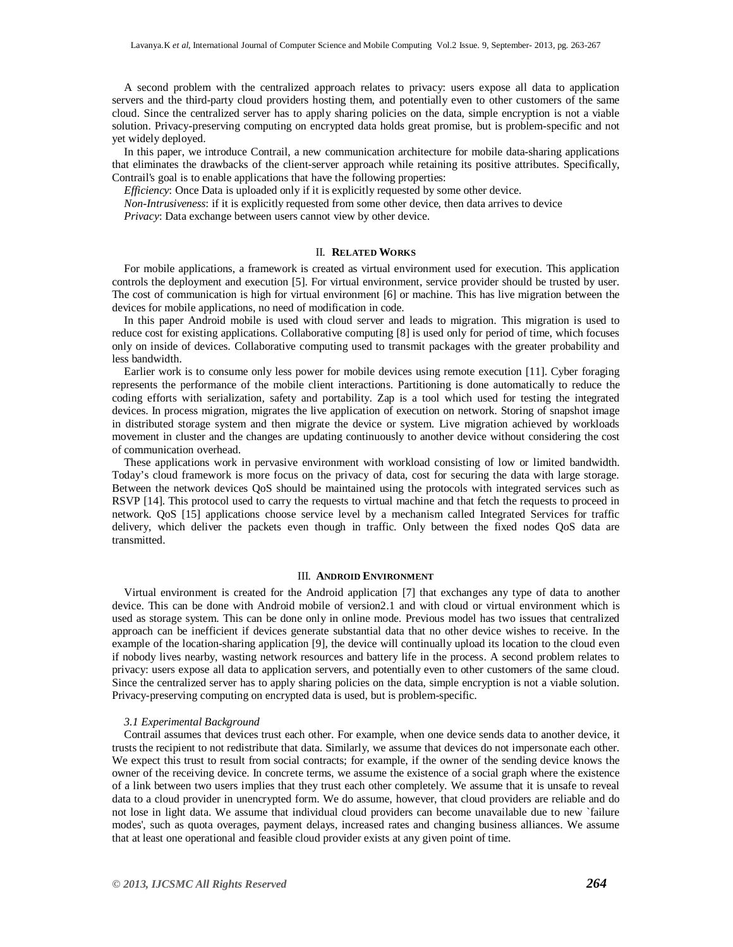A second problem with the centralized approach relates to privacy: users expose all data to application servers and the third-party cloud providers hosting them, and potentially even to other customers of the same cloud. Since the centralized server has to apply sharing policies on the data, simple encryption is not a viable solution. Privacy-preserving computing on encrypted data holds great promise, but is problem-specific and not yet widely deployed.

In this paper, we introduce Contrail, a new communication architecture for mobile data-sharing applications that eliminates the drawbacks of the client-server approach while retaining its positive attributes. Specifically, Contrail's goal is to enable applications that have the following properties:

*Efficiency*: Once Data is uploaded only if it is explicitly requested by some other device.

*Non-Intrusiveness*: if it is explicitly requested from some other device, then data arrives to device

*Privacy*: Data exchange between users cannot view by other device.

### II. **RELATED WORKS**

For mobile applications, a framework is created as virtual environment used for execution. This application controls the deployment and execution [5]. For virtual environment, service provider should be trusted by user. The cost of communication is high for virtual environment [6] or machine. This has live migration between the devices for mobile applications, no need of modification in code.

In this paper Android mobile is used with cloud server and leads to migration. This migration is used to reduce cost for existing applications. Collaborative computing [8] is used only for period of time, which focuses only on inside of devices. Collaborative computing used to transmit packages with the greater probability and less bandwidth.

Earlier work is to consume only less power for mobile devices using remote execution [11]. Cyber foraging represents the performance of the mobile client interactions. Partitioning is done automatically to reduce the coding efforts with serialization, safety and portability. Zap is a tool which used for testing the integrated devices. In process migration, migrates the live application of execution on network. Storing of snapshot image in distributed storage system and then migrate the device or system. Live migration achieved by workloads movement in cluster and the changes are updating continuously to another device without considering the cost of communication overhead.

These applications work in pervasive environment with workload consisting of low or limited bandwidth. Today's cloud framework is more focus on the privacy of data, cost for securing the data with large storage. Between the network devices QoS should be maintained using the protocols with integrated services such as RSVP [14]. This protocol used to carry the requests to virtual machine and that fetch the requests to proceed in network. QoS [15] applications choose service level by a mechanism called Integrated Services for traffic delivery, which deliver the packets even though in traffic. Only between the fixed nodes QoS data are transmitted.

## III. **ANDROID ENVIRONMENT**

Virtual environment is created for the Android application [7] that exchanges any type of data to another device. This can be done with Android mobile of version2.1 and with cloud or virtual environment which is used as storage system. This can be done only in online mode. Previous model has two issues that centralized approach can be inefficient if devices generate substantial data that no other device wishes to receive. In the example of the location-sharing application [9], the device will continually upload its location to the cloud even if nobody lives nearby, wasting network resources and battery life in the process. A second problem relates to privacy: users expose all data to application servers, and potentially even to other customers of the same cloud. Since the centralized server has to apply sharing policies on the data, simple encryption is not a viable solution. Privacy-preserving computing on encrypted data is used, but is problem-specific.

## *3.1 Experimental Background*

Contrail assumes that devices trust each other. For example, when one device sends data to another device, it trusts the recipient to not redistribute that data. Similarly, we assume that devices do not impersonate each other. We expect this trust to result from social contracts; for example, if the owner of the sending device knows the owner of the receiving device. In concrete terms, we assume the existence of a social graph where the existence of a link between two users implies that they trust each other completely. We assume that it is unsafe to reveal data to a cloud provider in unencrypted form. We do assume, however, that cloud providers are reliable and do not lose in light data. We assume that individual cloud providers can become unavailable due to new `failure modes', such as quota overages, payment delays, increased rates and changing business alliances. We assume that at least one operational and feasible cloud provider exists at any given point of time.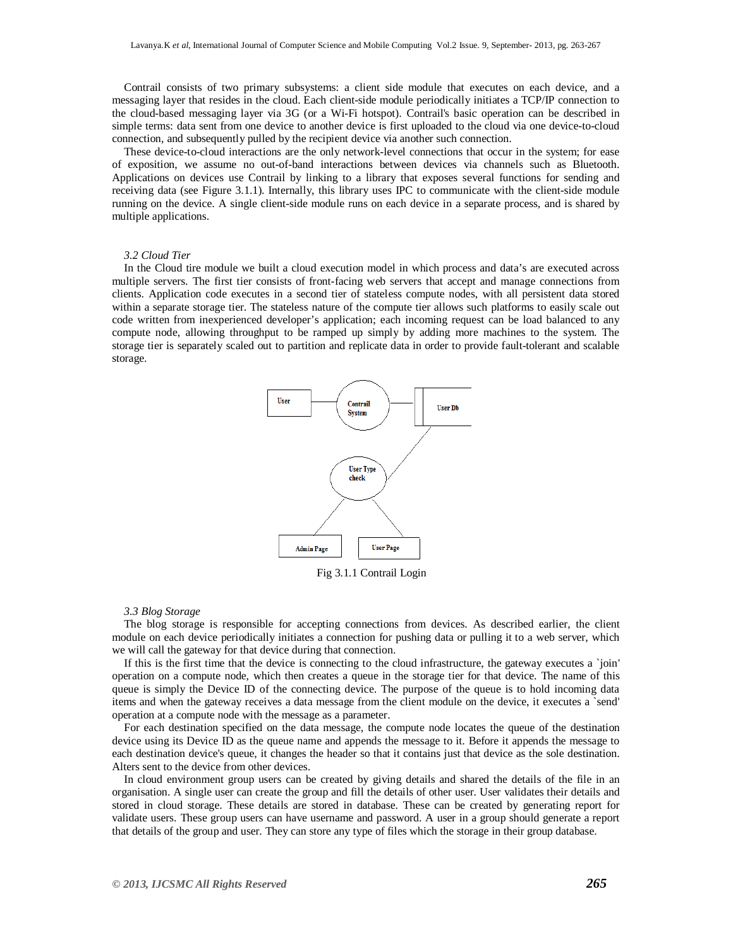Contrail consists of two primary subsystems: a client side module that executes on each device, and a messaging layer that resides in the cloud. Each client-side module periodically initiates a TCP/IP connection to the cloud-based messaging layer via 3G (or a Wi-Fi hotspot). Contrail's basic operation can be described in simple terms: data sent from one device to another device is first uploaded to the cloud via one device-to-cloud connection, and subsequently pulled by the recipient device via another such connection.

These device-to-cloud interactions are the only network-level connections that occur in the system; for ease of exposition, we assume no out-of-band interactions between devices via channels such as Bluetooth. Applications on devices use Contrail by linking to a library that exposes several functions for sending and receiving data (see Figure 3.1.1). Internally, this library uses IPC to communicate with the client-side module running on the device. A single client-side module runs on each device in a separate process, and is shared by multiple applications.

## *3.2 Cloud Tier*

In the Cloud tire module we built a cloud execution model in which process and data's are executed across multiple servers. The first tier consists of front-facing web servers that accept and manage connections from clients. Application code executes in a second tier of stateless compute nodes, with all persistent data stored within a separate storage tier. The stateless nature of the compute tier allows such platforms to easily scale out code written from inexperienced developer's application; each incoming request can be load balanced to any compute node, allowing throughput to be ramped up simply by adding more machines to the system. The storage tier is separately scaled out to partition and replicate data in order to provide fault-tolerant and scalable storage.



Fig 3.1.1 Contrail Login

### *3.3 Blog Storage*

The blog storage is responsible for accepting connections from devices. As described earlier, the client module on each device periodically initiates a connection for pushing data or pulling it to a web server, which we will call the gateway for that device during that connection.

If this is the first time that the device is connecting to the cloud infrastructure, the gateway executes a `join' operation on a compute node, which then creates a queue in the storage tier for that device. The name of this queue is simply the Device ID of the connecting device. The purpose of the queue is to hold incoming data items and when the gateway receives a data message from the client module on the device, it executes a `send' operation at a compute node with the message as a parameter.

For each destination specified on the data message, the compute node locates the queue of the destination device using its Device ID as the queue name and appends the message to it. Before it appends the message to each destination device's queue, it changes the header so that it contains just that device as the sole destination. Alters sent to the device from other devices.

In cloud environment group users can be created by giving details and shared the details of the file in an organisation. A single user can create the group and fill the details of other user. User validates their details and stored in cloud storage. These details are stored in database. These can be created by generating report for validate users. These group users can have username and password. A user in a group should generate a report that details of the group and user. They can store any type of files which the storage in their group database.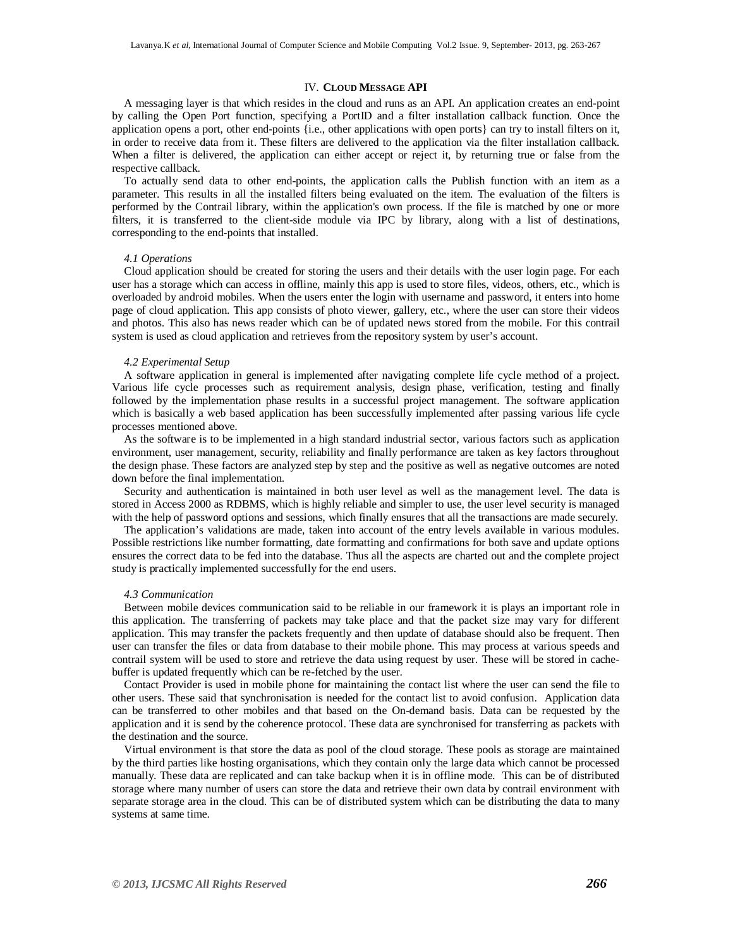## IV. **CLOUD MESSAGE API**

A messaging layer is that which resides in the cloud and runs as an API. An application creates an end-point by calling the Open Port function, specifying a PortID and a filter installation callback function. Once the application opens a port, other end-points {i.e., other applications with open ports} can try to install filters on it, in order to receive data from it. These filters are delivered to the application via the filter installation callback. When a filter is delivered, the application can either accept or reject it, by returning true or false from the respective callback.

To actually send data to other end-points, the application calls the Publish function with an item as a parameter. This results in all the installed filters being evaluated on the item. The evaluation of the filters is performed by the Contrail library, within the application's own process. If the file is matched by one or more filters, it is transferred to the client-side module via IPC by library, along with a list of destinations, corresponding to the end-points that installed.

## *4.1 Operations*

Cloud application should be created for storing the users and their details with the user login page. For each user has a storage which can access in offline, mainly this app is used to store files, videos, others, etc., which is overloaded by android mobiles. When the users enter the login with username and password, it enters into home page of cloud application. This app consists of photo viewer, gallery, etc., where the user can store their videos and photos. This also has news reader which can be of updated news stored from the mobile. For this contrail system is used as cloud application and retrieves from the repository system by user's account.

### *4.2 Experimental Setup*

A software application in general is implemented after navigating complete life cycle method of a project. Various life cycle processes such as requirement analysis, design phase, verification, testing and finally followed by the implementation phase results in a successful project management. The software application which is basically a web based application has been successfully implemented after passing various life cycle processes mentioned above.

As the software is to be implemented in a high standard industrial sector, various factors such as application environment, user management, security, reliability and finally performance are taken as key factors throughout the design phase. These factors are analyzed step by step and the positive as well as negative outcomes are noted down before the final implementation.

Security and authentication is maintained in both user level as well as the management level. The data is stored in Access 2000 as RDBMS, which is highly reliable and simpler to use, the user level security is managed with the help of password options and sessions, which finally ensures that all the transactions are made securely.

The application's validations are made, taken into account of the entry levels available in various modules. Possible restrictions like number formatting, date formatting and confirmations for both save and update options ensures the correct data to be fed into the database. Thus all the aspects are charted out and the complete project study is practically implemented successfully for the end users.

## *4.3 Communication*

Between mobile devices communication said to be reliable in our framework it is plays an important role in this application. The transferring of packets may take place and that the packet size may vary for different application. This may transfer the packets frequently and then update of database should also be frequent. Then user can transfer the files or data from database to their mobile phone. This may process at various speeds and contrail system will be used to store and retrieve the data using request by user. These will be stored in cachebuffer is updated frequently which can be re-fetched by the user.

Contact Provider is used in mobile phone for maintaining the contact list where the user can send the file to other users. These said that synchronisation is needed for the contact list to avoid confusion. Application data can be transferred to other mobiles and that based on the On-demand basis. Data can be requested by the application and it is send by the coherence protocol. These data are synchronised for transferring as packets with the destination and the source.

Virtual environment is that store the data as pool of the cloud storage. These pools as storage are maintained by the third parties like hosting organisations, which they contain only the large data which cannot be processed manually. These data are replicated and can take backup when it is in offline mode. This can be of distributed storage where many number of users can store the data and retrieve their own data by contrail environment with separate storage area in the cloud. This can be of distributed system which can be distributing the data to many systems at same time.